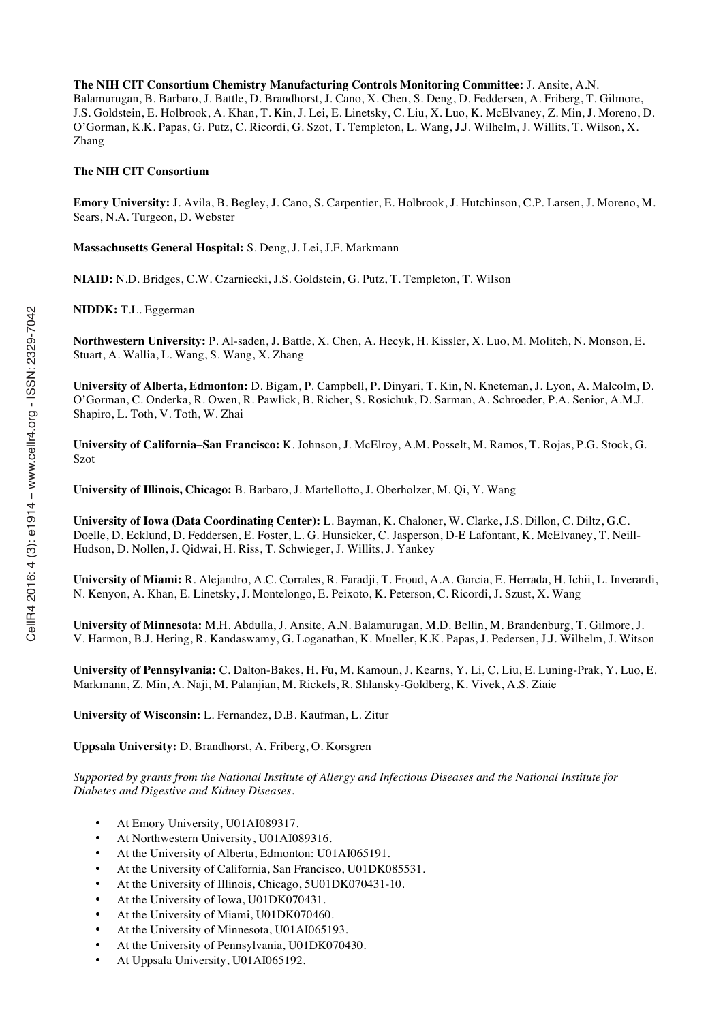**The NIH CIT Consortium Chemistry Manufacturing Controls Monitoring Committee:** J. Ansite, A.N. Balamurugan, B. Barbaro, J. Battle, D. Brandhorst, J. Cano, X. Chen, S. Deng, D. Feddersen, A. Friberg, T. Gilmore, J.S. Goldstein, E. Holbrook, A. Khan, T. Kin, J. Lei, E. Linetsky, C. Liu, X. Luo, K. McElvaney, Z. Min, J. Moreno, D. O'Gorman, K.K. Papas, G. Putz, C. Ricordi, G. Szot, T. Templeton, L. Wang, J.J. Wilhelm, J. Willits, T. Wilson, X. Zhang

#### **The NIH CIT Consortium**

**Emory University:** J. Avila, B. Begley, J. Cano, S. Carpentier, E. Holbrook, J. Hutchinson, C.P. Larsen, J. Moreno, M. Sears, N.A. Turgeon, D. Webster

**Massachusetts General Hospital:** S. Deng, J. Lei, J.F. Markmann

**NIAID:** N.D. Bridges, C.W. Czarniecki, J.S. Goldstein, G. Putz, T. Templeton, T. Wilson

**NIDDK:** T.L. Eggerman

**Northwestern University:** P. Al-saden, J. Battle, X. Chen, A. Hecyk, H. Kissler, X. Luo, M. Molitch, N. Monson, E. Stuart, A. Wallia, L. Wang, S. Wang, X. Zhang

**University of Alberta, Edmonton:** D. Bigam, P. Campbell, P. Dinyari, T. Kin, N. Kneteman, J. Lyon, A. Malcolm, D. O'Gorman, C. Onderka, R. Owen, R. Pawlick, B. Richer, S. Rosichuk, D. Sarman, A. Schroeder, P.A. Senior, A.M.J. Shapiro, L. Toth, V. Toth, W. Zhai

**University of California–San Francisco:** K. Johnson, J. McElroy, A.M. Posselt, M. Ramos, T. Rojas, P.G. Stock, G. Szot

**University of Illinois, Chicago:** B. Barbaro, J. Martellotto, J. Oberholzer, M. Qi, Y. Wang

**University of Iowa (Data Coordinating Center):** L. Bayman, K. Chaloner, W. Clarke, J.S. Dillon, C. Diltz, G.C. Doelle, D. Ecklund, D. Feddersen, E. Foster, L. G. Hunsicker, C. Jasperson, D-E Lafontant, K. McElvaney, T. Neill-Hudson, D. Nollen, J. Qidwai, H. Riss, T. Schwieger, J. Willits, J. Yankey

**University of Miami:** R. Alejandro, A.C. Corrales, R. Faradji, T. Froud, A.A. Garcia, E. Herrada, H. Ichii, L. Inverardi, N. Kenyon, A. Khan, E. Linetsky, J. Montelongo, E. Peixoto, K. Peterson, C. Ricordi, J. Szust, X. Wang

**University of Minnesota:** M.H. Abdulla, J. Ansite, A.N. Balamurugan, M.D. Bellin, M. Brandenburg, T. Gilmore, J. V. Harmon, B.J. Hering, R. Kandaswamy, G. Loganathan, K. Mueller, K.K. Papas, J. Pedersen, J.J. Wilhelm, J. Witson

**University of Pennsylvania:** C. Dalton-Bakes, H. Fu, M. Kamoun, J. Kearns, Y. Li, C. Liu, E. Luning-Prak, Y. Luo, E. Markmann, Z. Min, A. Naji, M. Palanjian, M. Rickels, R. Shlansky-Goldberg, K. Vivek, A.S. Ziaie

**University of Wisconsin:** L. Fernandez, D.B. Kaufman, L. Zitur

**Uppsala University:** D. Brandhorst, A. Friberg, O. Korsgren

*Supported by grants from the National Institute of Allergy and Infectious Diseases and the National Institute for Diabetes and Digestive and Kidney Diseases.*

- At Emory University, U01AI089317.
- At Northwestern University, U01AI089316.
- At the University of Alberta, Edmonton: U01AI065191.
- At the University of California, San Francisco, U01DK085531.
- At the University of Illinois, Chicago, 5U01DK070431-10.
- At the University of Iowa, U01DK070431.
- At the University of Miami, U01DK070460.
- At the University of Minnesota, U01AI065193.
- At the University of Pennsylvania, U01DK070430.
- At Uppsala University, U01AI065192.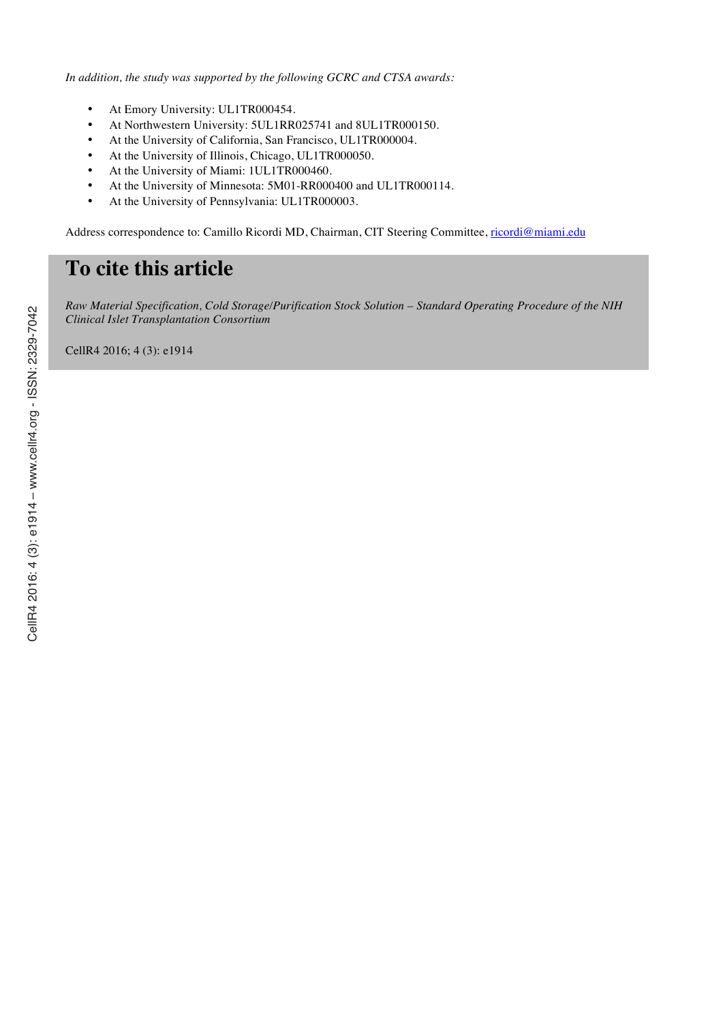*In addition, the study was supported by the following GCRC and CTSA awards:*

- At Emory University: UL1TR000454.
- At Northwestern University: 5UL1RR025741 and 8UL1TR000150.
- At the University of California, San Francisco, UL1TR000004.
- At the University of Illinois, Chicago, UL1TR000050.
- At the University of Miami: 1UL1TR000460.
- At the University of Minnesota: 5M01-RR000400 and UL1TR000114.
- At the University of Pennsylvania: UL1TR000003.

Address correspondence to: Camillo Ricordi MD, Chairman, CIT Steering Committee, ricordi@miami.edu

# **To cite this article**

*Raw Material Specification, Cold Storage/Purification Stock Solution – Standard Operating Procedure of the NIH Clinical Islet Transplantation Consortium*

CellR4 2016; 4 (3): e1914